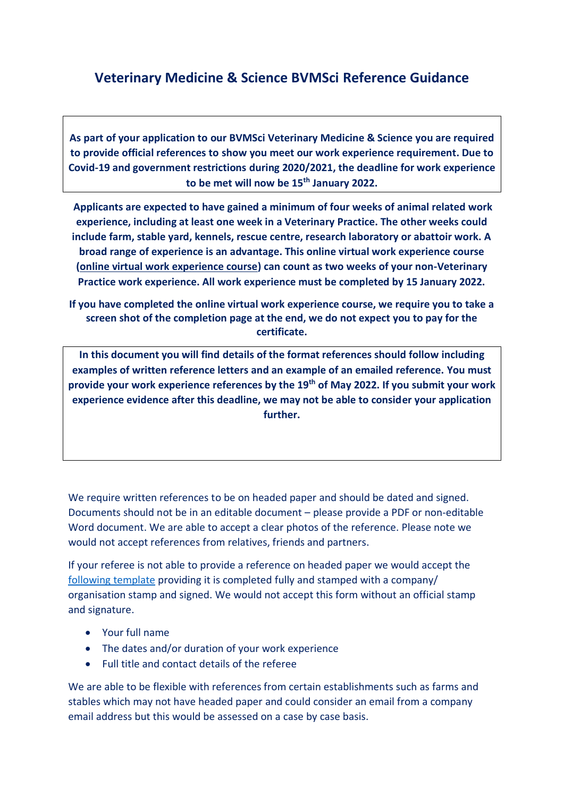## **Veterinary Medicine & Science BVMSci Reference Guidance**

**As part of your application to our BVMSci Veterinary Medicine & Science you are required to provide official references to show you meet our work experience requirement. Due to Covid-19 and government restrictions during 2020/2021, the deadline for work experience to be met will now be 15th January 2022.** 

**Applicants are expected to have gained a minimum of four weeks of animal related work experience, including at least one week in a Veterinary Practice. The other weeks could include farm, stable yard, kennels, rescue centre, research laboratory or abattoir work. A broad range of experience is an advantage. This online virtual work experience course [\(online virtual work experience course\)](http://www.futurelearn.com/courses/vet-school-application-support) can count as two weeks of your non-Veterinary Practice work experience. All work experience must be completed by 15 January 2022.** 

**If you have completed the online virtual work experience course, we require you to take a screen shot of the completion page at the end, we do not expect you to pay for the certificate.**

**In this document you will find details of the format references should follow including examples of written reference letters and an example of an emailed reference. You must provide your work experience references by the 19th of May 2022. If you submit your work experience evidence after this deadline, we may not be able to consider your application further.**

We require written references to be on headed paper and should be dated and signed. Documents should not be in an editable document – please provide a PDF or non-editable Word document. We are able to accept a clear photos of the reference. Please note we would not accept references from relatives, friends and partners.

If your referee is not able to provide a reference on headed paper we would accept the [following template](https://www.surrey.ac.uk/sites/default/files/2018-09/reference-request-template-form.pdf) providing it is completed fully and stamped with a company/ organisation stamp and signed. We would not accept this form without an official stamp and signature.

- Your full name
- The dates and/or duration of your work experience
- Full title and contact details of the referee

We are able to be flexible with references from certain establishments such as farms and stables which may not have headed paper and could consider an email from a company email address but this would be assessed on a case by case basis.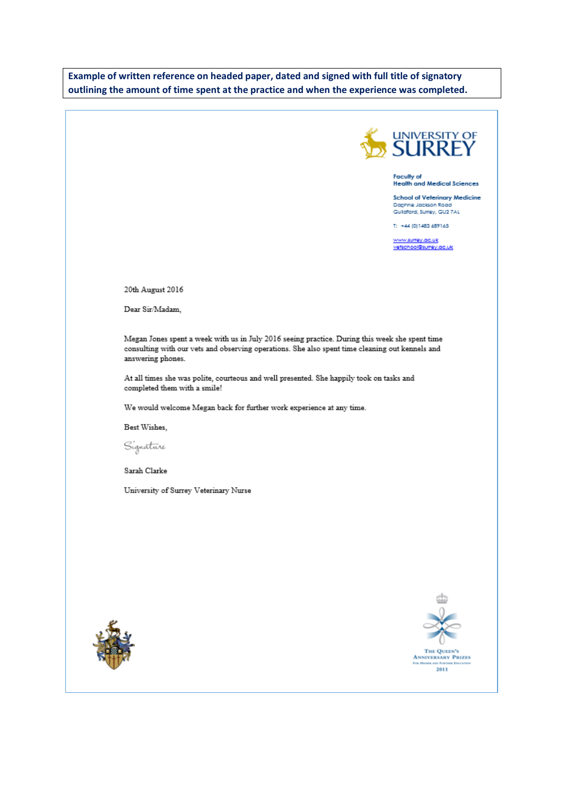Example of written reference on headed paper, dated and signed with full title of signatory outlining the amount of time spent at the practice and when the experience was completed.



Faculty of<br>Health and Medical Sciences

School of Veterinary Medicine Daghne Jackson Road Guildford, Sumey, GU2 7AL

T: +44 (0) 1483 689165

www.sumey.ac.uk<br>vetschool@sumey.ac.uk

20th August 2016

Dear Sir/Madam,

Megan Jones spent a week with us in July 2016 seeing practice. During this week she spent time consulting with our vets and observing operations. She also spent time cleaning out kennels and answering phones.

At all times she was polite, courteous and well presented. She happily took on tasks and completed them with a smile!

We would welcome Megan back for further work experience at any time.

Best Wishes,

Signature

Sarah Clarke

University of Surrey Veterinary Nurse





THE QUEEN'S<br>ANNIVERSARY PRIZES<br>For Home and Former Englance 2011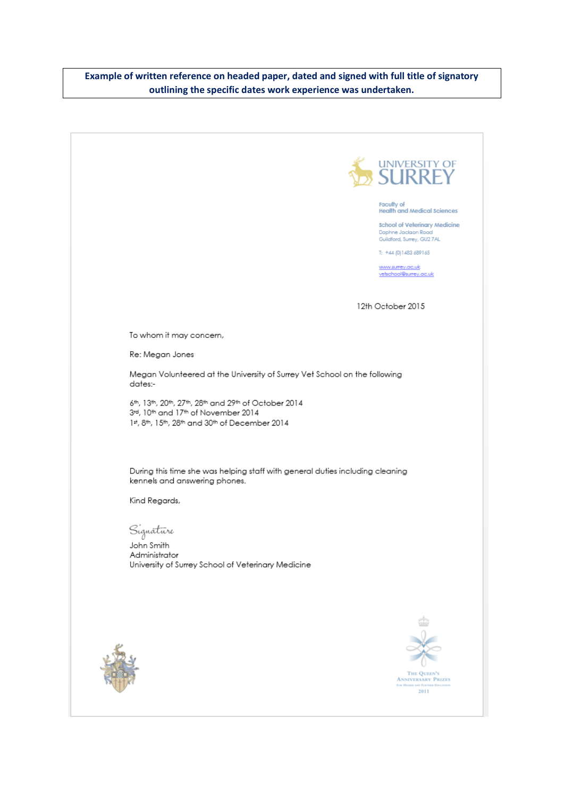## **Example of written reference on headed paper, dated and signed with full title of signatory outlining the specific dates work experience was undertaken.**

|                                                                                                                                               | UNIVERSITY OF SURREY                                                                      |
|-----------------------------------------------------------------------------------------------------------------------------------------------|-------------------------------------------------------------------------------------------|
|                                                                                                                                               |                                                                                           |
|                                                                                                                                               | Faculty of<br><b>Health and Medical Sciences</b>                                          |
|                                                                                                                                               | <b>School of Veterinary Medicine</b><br>Daphne Jackson Road<br>Guildford, Surrey, GU2 7AL |
|                                                                                                                                               | T: +44 (0)1483 689165                                                                     |
|                                                                                                                                               | www.surrey.ac.uk<br>vetschool@surrey.oc.uk                                                |
|                                                                                                                                               |                                                                                           |
|                                                                                                                                               | 12th October 2015                                                                         |
|                                                                                                                                               |                                                                                           |
| To whom it may concern,                                                                                                                       |                                                                                           |
| Re: Megan Jones                                                                                                                               |                                                                                           |
| Megan Volunteered at the University of Surrey Vet School on the following<br>dates:-                                                          |                                                                                           |
| 6th, 13th, 20th, 27th, 28th and 29th of October 2014<br>3rd, 10th and 17th of November 2014<br>1st, 8th, 15th, 28th and 30th of December 2014 |                                                                                           |
|                                                                                                                                               |                                                                                           |
| During this time she was helping staff with general duties including cleaning<br>kennels and answering phones.                                |                                                                                           |
| Kind Regards,                                                                                                                                 |                                                                                           |
|                                                                                                                                               |                                                                                           |
| Signătūre<br>John Smith                                                                                                                       |                                                                                           |
| Administrator<br>University of Surrey School of Veterinary Medicine                                                                           |                                                                                           |
|                                                                                                                                               |                                                                                           |
|                                                                                                                                               |                                                                                           |
|                                                                                                                                               |                                                                                           |
|                                                                                                                                               |                                                                                           |
|                                                                                                                                               |                                                                                           |
|                                                                                                                                               | THE QUEEN'S                                                                               |
|                                                                                                                                               | <b>ANNIVERSARY PRIZES</b><br>FOR HUSSIE AND PURTIES EDUCATION<br>2011                     |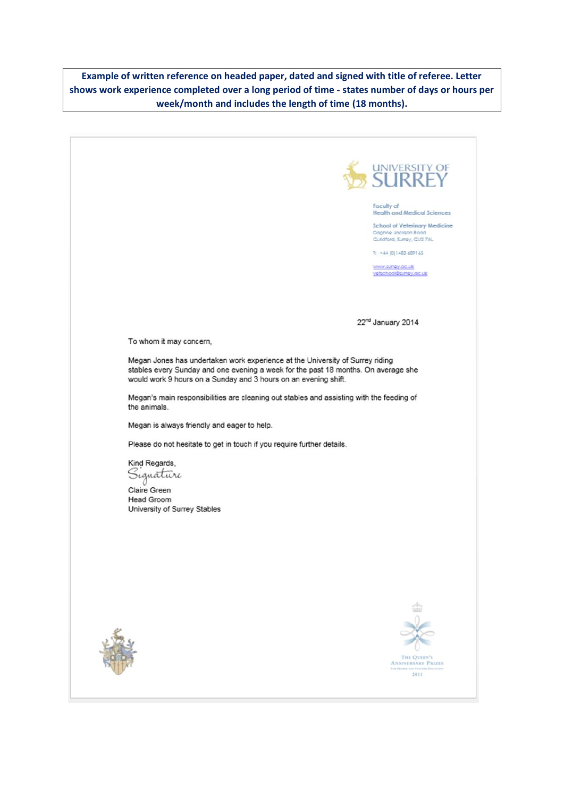**Example of written reference on headed paper, dated and signed with title of referee. Letter shows work experience completed over a long period of time - states number of days or hours per week/month and includes the length of time (18 months).** 

UNIVERSITY OF Faculty of<br>Health and Medical Sciences School of Veterinary Medicine Daphne Jacison Roo Guildford, Surrey, GU2 7AL T: +44 (0)1483 689165 www.surrey.ac.uk<br>yetschool@surrey.ac.uk 22<sup>nd</sup> January 2014 To whom it may concern, Megan Jones has undertaken work experience at the University of Surrey riding stables every Sunday and one evening a week for the past 18 months. On average she would work 9 hours on a Sunday and 3 hours on an evening shift. Megan's main responsibilities are cleaning out stables and assisting with the feeding of the animals. Megan is always friendly and eager to help. Please do not hesitate to get in touch if you require further details. Kind Regards, Signature Claire Green Head Groom University of Surrey Stables THE QUEEN'S<br>ANNIVERSARY PRIZES 2011